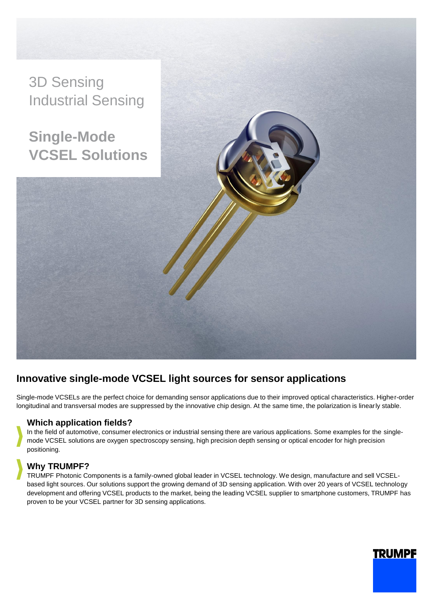

## **Innovative single-mode VCSEL light sources for sensor applications**

Single-mode VCSELs are the perfect choice for demanding sensor applications due to their improved optical characteristics. Higher-order longitudinal and transversal modes are suppressed by the innovative chip design. At the same time, the polarization is linearly stable.

## **Which application fields?**

In the field of automotive, consumer electronics or industrial sensing there are various applications. Some examples for the singlemode VCSEL solutions are oxygen spectroscopy sensing, high precision depth sensing or optical encoder for high precision positioning.

## **Why TRUMPF?**

TRUMPF Photonic Components is a family-owned global leader in VCSEL technology. We design, manufacture and sell VCSELbased light sources. Our solutions support the growing demand of 3D sensing application. With over 20 years of VCSEL technology development and offering VCSEL products to the market, being the leading VCSEL supplier to smartphone customers, TRUMPF has proven to be your VCSEL partner for 3D sensing applications.

# **TRUMPF**